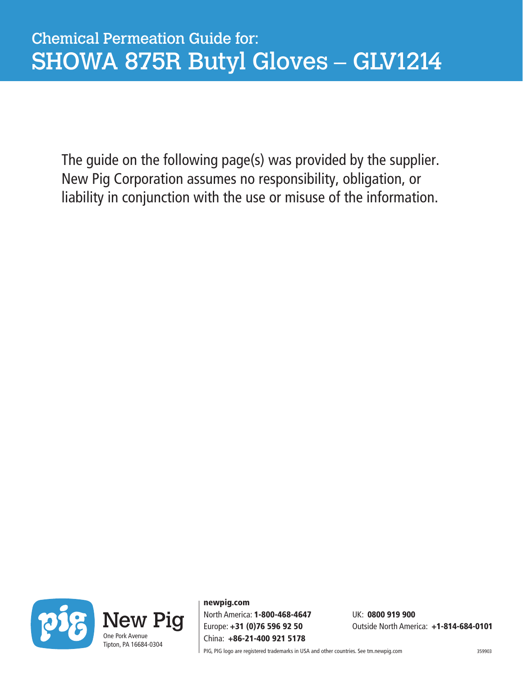The guide on the following page(s) was provided by the supplier. New Pig Corporation assumes no responsibility, obligation, or liability in conjunction with the use or misuse of the information.



newpig.com North America: 1-800-468-4647 UK: 0800 919 900 China: +86-21-400 921 5178

Europe: +31 (0)76 596 92 50 Outside North America: +1-814-684-0101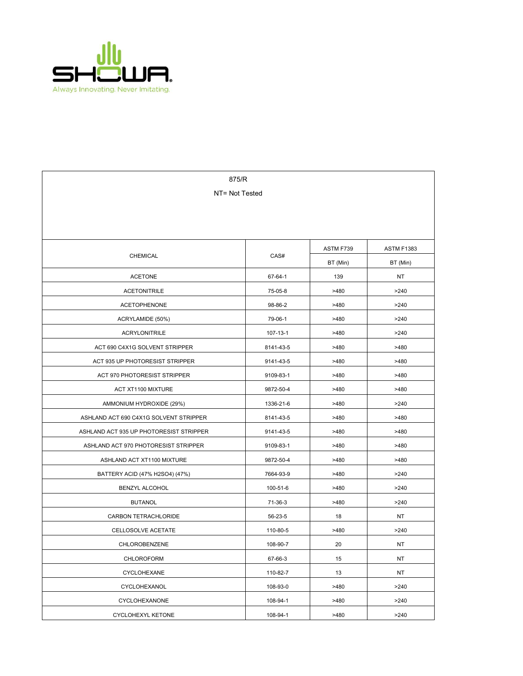

| 875/R                                   |           |           |                   |  |  |  |
|-----------------------------------------|-----------|-----------|-------------------|--|--|--|
| NT= Not Tested                          |           |           |                   |  |  |  |
|                                         |           |           |                   |  |  |  |
|                                         |           |           |                   |  |  |  |
|                                         |           | ASTM F739 | <b>ASTM F1383</b> |  |  |  |
| <b>CHEMICAL</b>                         | CAS#      | BT (Min)  | BT (Min)          |  |  |  |
| <b>ACETONE</b>                          | 67-64-1   | 139       | NT                |  |  |  |
| <b>ACETONITRILE</b>                     | 75-05-8   | >480      | >240              |  |  |  |
| <b>ACETOPHENONE</b>                     | 98-86-2   | >480      | >240              |  |  |  |
| ACRYLAMIDE (50%)                        | 79-06-1   | >480      | >240              |  |  |  |
| <b>ACRYLONITRILE</b>                    | 107-13-1  | >480      | >240              |  |  |  |
| ACT 690 C4X1G SOLVENT STRIPPER          | 8141-43-5 | >480      | >480              |  |  |  |
| ACT 935 UP PHOTORESIST STRIPPER         | 9141-43-5 | >480      | >480              |  |  |  |
| ACT 970 PHOTORESIST STRIPPER            | 9109-83-1 | >480      | >480              |  |  |  |
| ACT XT1100 MIXTURE                      | 9872-50-4 | >480      | >480              |  |  |  |
| AMMONIUM HYDROXIDE (29%)                | 1336-21-6 | >480      | >240              |  |  |  |
| ASHLAND ACT 690 C4X1G SOLVENT STRIPPER  | 8141-43-5 | >480      | >480              |  |  |  |
| ASHLAND ACT 935 UP PHOTORESIST STRIPPER | 9141-43-5 | >480      | >480              |  |  |  |
| ASHLAND ACT 970 PHOTORESIST STRIPPER    | 9109-83-1 | >480      | >480              |  |  |  |
| ASHLAND ACT XT1100 MIXTURE              | 9872-50-4 | >480      | >480              |  |  |  |
| BATTERY ACID (47% H2SO4) (47%)          | 7664-93-9 | >480      | >240              |  |  |  |
| BENZYL ALCOHOL                          | 100-51-6  | >480      | >240              |  |  |  |
| <b>BUTANOL</b>                          | 71-36-3   | >480      | >240              |  |  |  |
| CARBON TETRACHLORIDE                    | 56-23-5   | 18        | NT                |  |  |  |
| CELLOSOLVE ACETATE                      | 110-80-5  | >480      | >240              |  |  |  |
| <b>CHLOROBENZENE</b>                    | 108-90-7  | 20        | <b>NT</b>         |  |  |  |
| CHLOROFORM                              | 67-66-3   | 15        | NT                |  |  |  |
| CYCLOHEXANE                             | 110-82-7  | 13        | NT                |  |  |  |
| CYCLOHEXANOL                            | 108-93-0  | >480      | >240              |  |  |  |
| CYCLOHEXANONE                           | 108-94-1  | >480      | >240              |  |  |  |
| CYCLOHEXYL KETONE                       | 108-94-1  | >480      | >240              |  |  |  |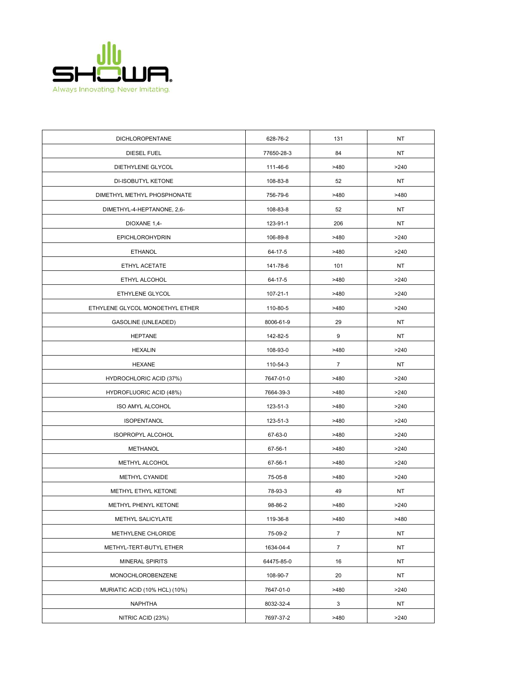

| DICHLOROPENTANE                 | 628-76-2   | 131              | <b>NT</b> |
|---------------------------------|------------|------------------|-----------|
| DIESEL FUEL                     | 77650-28-3 | 84               | NT.       |
| DIETHYLENE GLYCOL               | 111-46-6   | >480             | >240      |
| DI-ISOBUTYL KETONE              | 108-83-8   | 52               | NT        |
| DIMETHYL METHYL PHOSPHONATE     | 756-79-6   | >480             | >480      |
| DIMETHYL-4-HEPTANONE, 2,6-      | 108-83-8   | 52               | NT        |
| DIOXANE 1,4-                    | 123-91-1   | 206              | NT        |
| EPICHLOROHYDRIN                 | 106-89-8   | >480             | >240      |
| <b>ETHANOL</b>                  | 64-17-5    | >480             | >240      |
| ETHYL ACETATE                   | 141-78-6   | 101              | NT        |
| ETHYL ALCOHOL                   | 64-17-5    | >480             | >240      |
| ETHYLENE GLYCOL                 | 107-21-1   | >480             | >240      |
| ETHYLENE GLYCOL MONOETHYL ETHER | 110-80-5   | >480             | >240      |
| GASOLINE (UNLEADED)             | 8006-61-9  | 29               | NT        |
| <b>HEPTANE</b>                  | 142-82-5   | 9                | NT.       |
| <b>HEXALIN</b>                  | 108-93-0   | >480             | >240      |
| <b>HEXANE</b>                   | 110-54-3   | 7                | NT.       |
| HYDROCHLORIC ACID (37%)         | 7647-01-0  | >480             | >240      |
| HYDROFLUORIC ACID (48%)         | 7664-39-3  | >480             | >240      |
| <b>ISO AMYL ALCOHOL</b>         | 123-51-3   | >480             | >240      |
| <b>ISOPENTANOL</b>              | 123-51-3   | >480             | >240      |
| ISOPROPYL ALCOHOL               | 67-63-0    | >480             | >240      |
| <b>METHANOL</b>                 | 67-56-1    | >480             | >240      |
| METHYL ALCOHOL                  | 67-56-1    | >480             | >240      |
| METHYL CYANIDE                  | 75-05-8    | >480             | >240      |
| METHYL ETHYL KETONE             | 78-93-3    | 49               | NT        |
| METHYL PHENYL KETONE            | 98-86-2    | >480             | >240      |
| METHYL SALICYLATE               | 119-36-8   | >480             | >480      |
| METHYLENE CHLORIDE              | 75-09-2    | $\boldsymbol{7}$ | NT.       |
| METHYL-TERT-BUTYL ETHER         | 1634-04-4  | $\overline{7}$   | NT        |
| <b>MINERAL SPIRITS</b>          | 64475-85-0 | 16               | ΝT        |
| MONOCHLOROBENZENE               | 108-90-7   | 20               | NT        |
| MURIATIC ACID (10% HCL) (10%)   | 7647-01-0  | >480             | >240      |
| <b>NAPHTHA</b>                  | 8032-32-4  | 3                | NT        |
| NITRIC ACID (23%)               | 7697-37-2  | >480             | >240      |